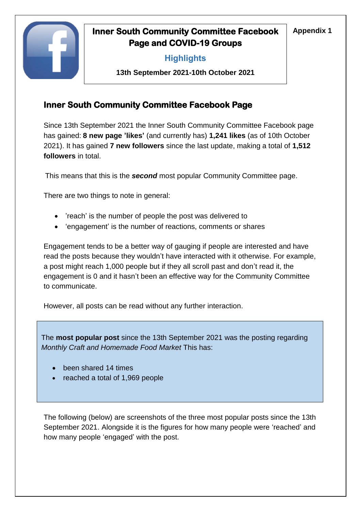

# **Inner South Community Committee Facebook** | Appendix 1 **Page and COVID-19 Groups**

## **Highlights**

**13th September 2021-10th October 2021**

## **Inner South Community Committee Facebook Page**

Since 13th September 2021 the Inner South Community Committee Facebook page has gained: **8 new page 'likes'** (and currently has) **1,241 likes** (as of 10th October 2021). It has gained **7 new followers** since the last update, making a total of **1,512 followers** in total.

This means that this is the *second* most popular Community Committee page.

There are two things to note in general:

- 'reach' is the number of people the post was delivered to
- 'engagement' is the number of reactions, comments or shares

Engagement tends to be a better way of gauging if people are interested and have read the posts because they wouldn't have interacted with it otherwise. For example, a post might reach 1,000 people but if they all scroll past and don't read it, the engagement is 0 and it hasn't been an effective way for the Community Committee to communicate.

However, all posts can be read without any further interaction.

The **most popular post** since the 13th September 2021 was the posting regarding *Monthly Craft and Homemade Food Market* This has:

- been shared 14 times
- reached a total of 1,969 people

The following (below) are screenshots of the three most popular posts since the 13th September 2021. Alongside it is the figures for how many people were 'reached' and how many people 'engaged' with the post.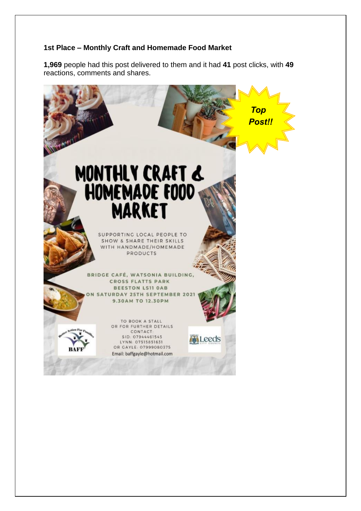#### **1st Place – Monthly Craft and Homemade Food Market**

**1,969** people had this post delivered to them and it had **41** post clicks, with **49** reactions, comments and shares.

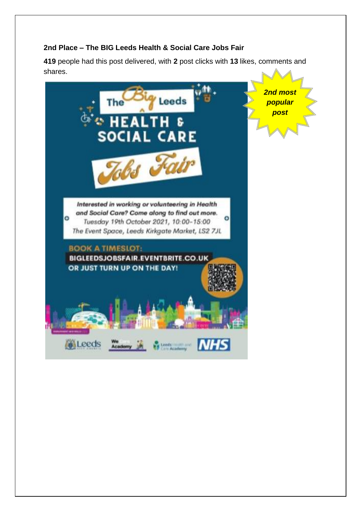#### **2nd Place – The BIG Leeds Health & Social Care Jobs Fair**

**419** people had this post delivered, with **2** post clicks with **13** likes, comments and shares.

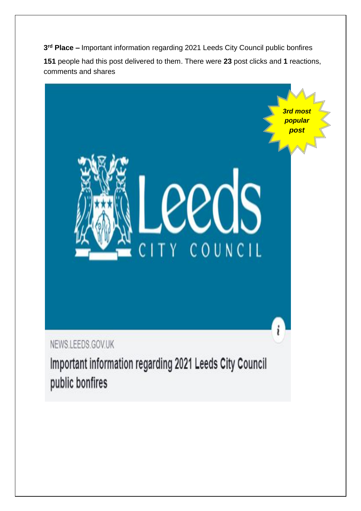**3 rd Place –** Important information regarding 2021 Leeds City Council public bonfires

**151** people had this post delivered to them. There were **23** post clicks and **1** reactions, comments and shares

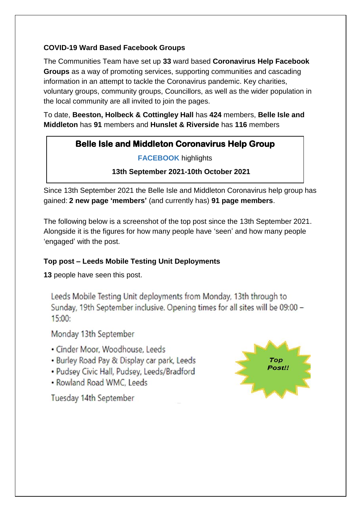#### **COVID-19 Ward Based Facebook Groups**

The Communities Team have set up **33** ward based **Coronavirus Help Facebook Groups** as a way of promoting services, supporting communities and cascading information in an attempt to tackle the Coronavirus pandemic. Key charities, voluntary groups, community groups, Councillors, as well as the wider population in the local community are all invited to join the pages.

To date, **Beeston, Holbeck & Cottingley Hall** has **424** members, **Belle Isle and Middleton** has **91** members and **Hunslet & Riverside** has **116** members

### **Belle Isle and Middleton Coronavirus Help Group**

**FACEBOOK** highlights

 **13th September 2021-10th October 2021**

Since 13th September 2021 the Belle Isle and Middleton Coronavirus help group has gained: **2 new page 'members'** (and currently has) **91 page members**.

The following below is a screenshot of the top post since the 13th September 2021. Alongside it is the figures for how many people have 'seen' and how many people 'engaged' with the post.

### **Top post – Leeds Mobile Testing Unit Deployments**

**13** people have seen this post.

Leeds Mobile Testing Unit deployments from Monday, 13th through to Sunday, 19th September inclusive. Opening times for all sites will be 09:00 - $15:00:$ 

Monday 13th September

- · Cinder Moor, Woodhouse, Leeds
- · Burley Road Pay & Display car park, Leeds
- · Pudsey Civic Hall, Pudsey, Leeds/Bradford
- Rowland Road WMC, Leeds

Tuesday 14th September

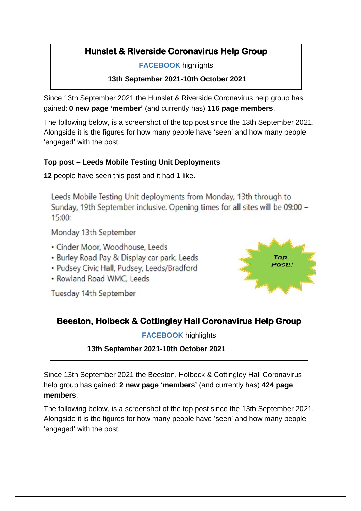# **Hunslet & Riverside Coronavirus Help Group**

**FACEBOOK** highlights

**13th September 2021-10th October 2021**

Since 13th September 2021 the Hunslet & Riverside Coronavirus help group has gained: **0 new page 'member'** (and currently has) **116 page members**.

The following below, is a screenshot of the top post since the 13th September 2021. Alongside it is the figures for how many people have 'seen' and how many people 'engaged' with the post.

### **Top post – Leeds Mobile Testing Unit Deployments**

**12** people have seen this post and it had **1** like.

Leeds Mobile Testing Unit deployments from Monday, 13th through to Sunday, 19th September inclusive. Opening times for all sites will be 09:00 - $15:00:$ 

Monday 13th September

- · Cinder Moor, Woodhouse, Leeds
- · Burley Road Pay & Display car park, Leeds
- Pudsey Civic Hall, Pudsey, Leeds/Bradford
- Rowland Road WMC, Leeds

Tuesday 14th September



## **Beeston, Holbeck & Cottingley Hall Coronavirus Help Group**

**FACEBOOK** highlights

 **13th September 2021-10th October 2021**

Since 13th September 2021 the Beeston, Holbeck & Cottingley Hall Coronavirus help group has gained: **2 new page 'members'** (and currently has) **424 page members**.

The following below, is a screenshot of the top post since the 13th September 2021. Alongside it is the figures for how many people have 'seen' and how many people 'engaged' with the post.